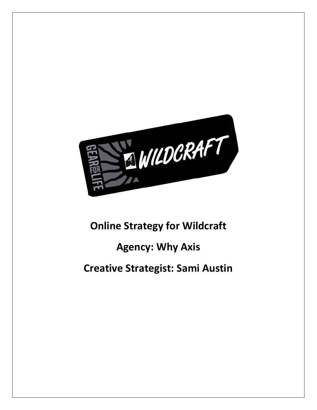

# **Online Strategy for Wildcraft**

## **Agency: Why Axis**

## **Creative Strategist: Sami Austin**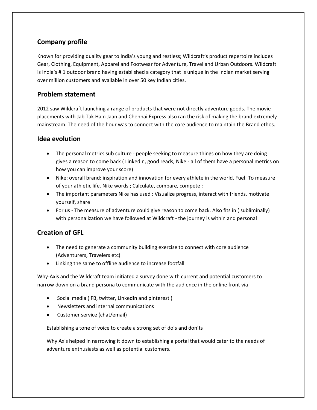## **Company profile**

Known for providing quality gear to India's young and restless; Wildcraft's product repertoire includes Gear, Clothing, Equipment, Apparel and Footwear for Adventure, Travel and Urban Outdoors. Wildcraft is India's # 1 outdoor brand having established a category that is unique in the Indian market serving over million customers and available in over 50 key Indian cities.

#### **Problem statement**

2012 saw Wildcraft launching a range of products that were not directly adventure goods. The movie placements with Jab Tak Hain Jaan and Chennai Express also ran the risk of making the brand extremely mainstream. The need of the hour was to connect with the core audience to maintain the Brand ethos.

### **Idea evolution**

- The personal metrics sub culture people seeking to measure things on how they are doing gives a reason to come back ( LinkedIn, good reads, Nike - all of them have a personal metrics on how you can improve your score)
- Nike: overall brand: inspiration and innovation for every athlete in the world. Fuel: To measure of your athletic life. Nike words ; Calculate, compare, compete :
- The important parameters Nike has used : Visualize progress, interact with friends, motivate yourself, share
- For us The measure of adventure could give reason to come back. Also fits in ( subliminally) with personalization we have followed at Wildcraft - the journey is within and personal

## **Creation of GFL**

- The need to generate a community building exercise to connect with core audience (Adventurers, Travelers etc)
- Linking the same to offline audience to increase footfall

Why-Axis and the Wildcraft team initiated a survey done with current and potential customers to narrow down on a brand persona to communicate with the audience in the online front via

- Social media ( FB, twitter, LinkedIn and pinterest )
- Newsletters and internal communications
- Customer service (chat/email)

Establishing a tone of voice to create a strong set of do's and don'ts

Why Axis helped in narrowing it down to establishing a portal that would cater to the needs of adventure enthusiasts as well as potential customers.